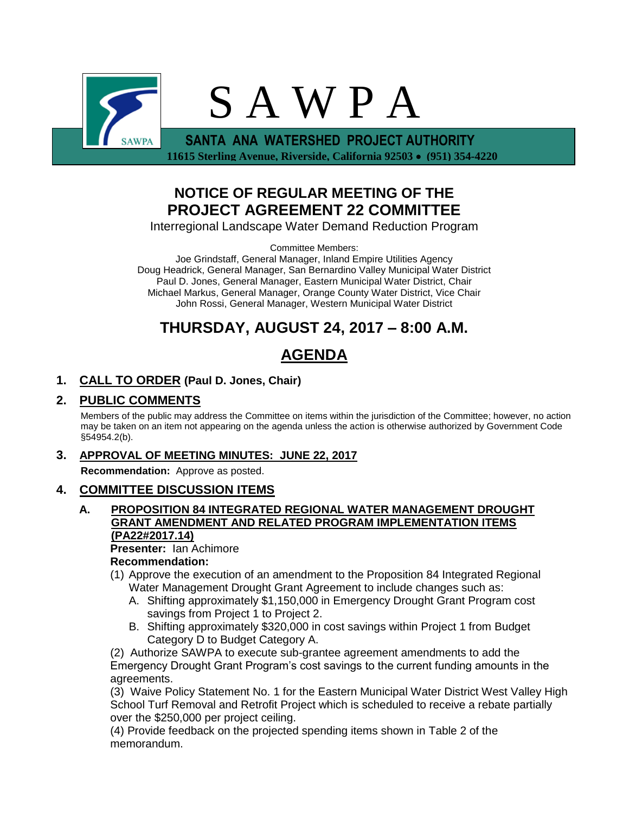

 **11615 Sterling Avenue, Riverside, California 92503 (951) 354-4220**

# **NOTICE OF REGULAR MEETING OF THE PROJECT AGREEMENT 22 COMMITTEE**

Interregional Landscape Water Demand Reduction Program

Committee Members:

Joe Grindstaff, General Manager, Inland Empire Utilities Agency Doug Headrick, General Manager, San Bernardino Valley Municipal Water District Paul D. Jones, General Manager, Eastern Municipal Water District, Chair Michael Markus, General Manager, Orange County Water District, Vice Chair John Rossi, General Manager, Western Municipal Water District

# **THURSDAY, AUGUST 24, 2017 – 8:00 A.M.**

# **AGENDA**

# **1. CALL TO ORDER (Paul D. Jones, Chair)**

## **2. PUBLIC COMMENTS**

Members of the public may address the Committee on items within the jurisdiction of the Committee; however, no action may be taken on an item not appearing on the agenda unless the action is otherwise authorized by Government Code §54954.2(b).

## **3. APPROVAL OF MEETING MINUTES: JUNE 22, 2017**

**Recommendation:** Approve as posted.

# **4. COMMITTEE DISCUSSION ITEMS**

### **A. PROPOSITION 84 INTEGRATED REGIONAL WATER MANAGEMENT DROUGHT GRANT AMENDMENT AND RELATED PROGRAM IMPLEMENTATION ITEMS (PA22#2017.14)**

**Presenter:** Ian Achimore

## **Recommendation:**

- (1) Approve the execution of an amendment to the Proposition 84 Integrated Regional Water Management Drought Grant Agreement to include changes such as:
	- A. Shifting approximately \$1,150,000 in Emergency Drought Grant Program cost savings from Project 1 to Project 2.
	- B. Shifting approximately \$320,000 in cost savings within Project 1 from Budget Category D to Budget Category A.

(2) Authorize SAWPA to execute sub-grantee agreement amendments to add the Emergency Drought Grant Program's cost savings to the current funding amounts in the agreements.

(3) Waive Policy Statement No. 1 for the Eastern Municipal Water District West Valley High School Turf Removal and Retrofit Project which is scheduled to receive a rebate partially over the \$250,000 per project ceiling.

(4) Provide feedback on the projected spending items shown in Table 2 of the memorandum.